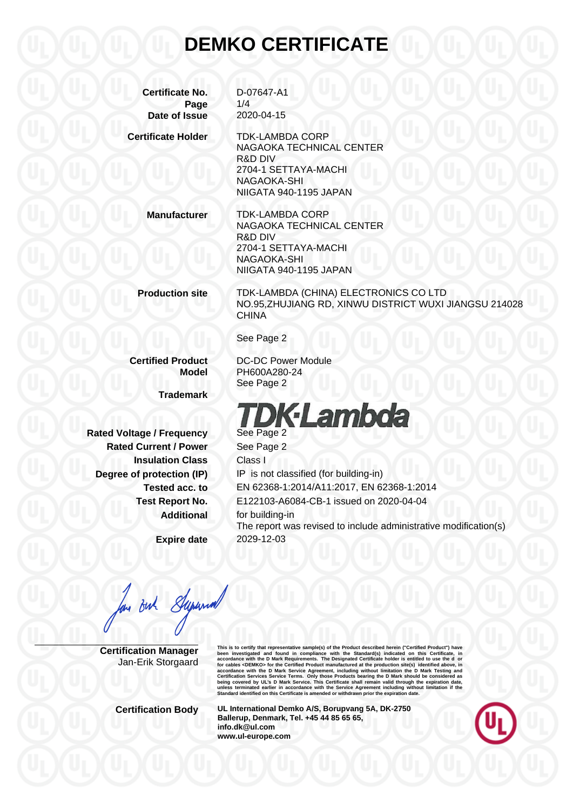#### **DEMKO CERTIFICATE**

**Certificate No.** D-07647-A1 **Page** 1/4 **Date of Issue** 2020-04-15

**Certificate Holder** TDK-LAMBDA CORP NAGAOKA TECHNICAL CENTER R&D DIV 2704-1 SETTAYA-MACHI NAGAOKA-SHI NIIGATA 940-1195 JAPAN

**Manufacturer** TDK-LAMBDA CORP NAGAOKA TECHNICAL CENTER R&D DIV 2704-1 SETTAYA-MACHI NAGAOKA-SHI NIIGATA 940-1195 JAPAN

**Production site** TDK-LAMBDA (CHINA) ELECTRONICS CO LTD NO.95,ZHUJIANG RD, XINWU DISTRICT WUXI JIANGSU 214028 **CHINA** 

See Page 2

See Page 2

**Certified Product** DC-DC Power Module **Model** PH600A280-24

**Trademark**

**Rated Voltage / Frequency See Page 2 Rated Current / Power** See Page 2 **Insulation Class** Class I

**Expire date** 2029-12-03

# **DK**·Lambda

**Degree of protection (IP)** IP is not classified (for building-in) **Tested acc. to** EN 62368-1:2014/A11:2017, EN 62368-1:2014 **Test Report No.** E122103-A6084-CB-1 issued on 2020-04-04 **Additional** for building-in The report was revised to include administrative modification(s)

an Buh Supernal

**Certification Manager** Jan-Erik Storgaard This is to certify that representative sample(s) of the Product described herein ("Certifical Product") have<br>been investigated and found in compliance with the Standard(s) indicated on this Certificate, in<br>accordance with

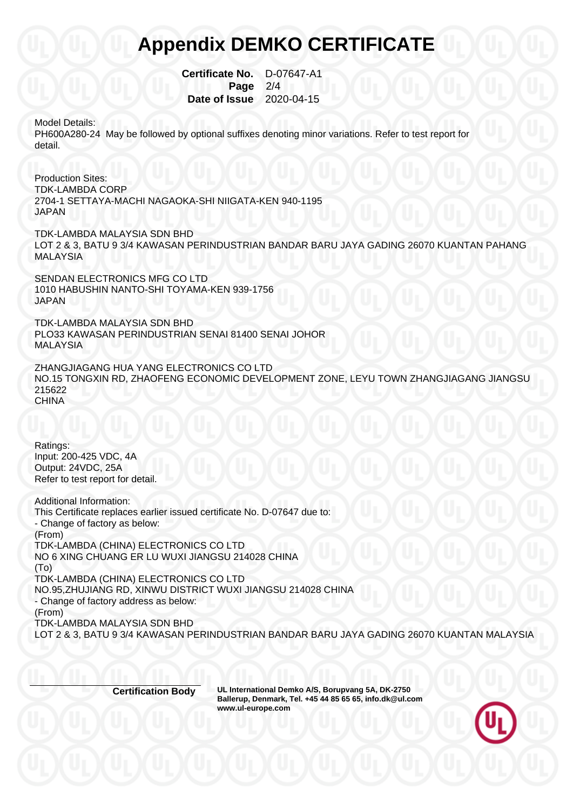#### **Appendix DEMKO CERTIFICATE**

 **Certificate No.** D-07647-A1 **Page 2/4 Date of Issue** 2020-04-15

Model Details:

PH600A280-24 May be followed by optional suffixes denoting minor variations. Refer to test report for detail.

Production Sites: TDK-LAMBDA CORP 2704-1 SETTAYA-MACHI NAGAOKA-SHI NIIGATA-KEN 940-1195 JAPAN

TDK-LAMBDA MALAYSIA SDN BHD LOT 2 & 3, BATU 9 3/4 KAWASAN PERINDUSTRIAN BANDAR BARU JAYA GADING 26070 KUANTAN PAHANG MALAYSIA

SENDAN ELECTRONICS MFG CO LTD 1010 HABUSHIN NANTO-SHI TOYAMA-KEN 939-1756 JAPAN

TDK-LAMBDA MALAYSIA SDN BHD PLO33 KAWASAN PERINDUSTRIAN SENAI 81400 SENAI JOHOR MALAYSIA

ZHANGJIAGANG HUA YANG ELECTRONICS CO LTD NO.15 TONGXIN RD, ZHAOFENG ECONOMIC DEVELOPMENT ZONE, LEYU TOWN ZHANGJIAGANG JIANGSU 215622 **CHINA** 

Ratings: Input: 200-425 VDC, 4A Output: 24VDC, 25A Refer to test report for detail.

Additional Information: This Certificate replaces earlier issued certificate No. D-07647 due to: - Change of factory as below: (From) TDK-LAMBDA (CHINA) ELECTRONICS CO LTD NO 6 XING CHUANG ER LU WUXI JIANGSU 214028 CHINA (To) TDK-LAMBDA (CHINA) ELECTRONICS CO LTD NO.95,ZHUJIANG RD, XINWU DISTRICT WUXI JIANGSU 214028 CHINA - Change of factory address as below: (From) TDK-LAMBDA MALAYSIA SDN BHD LOT 2 & 3, BATU 9 3/4 KAWASAN PERINDUSTRIAN BANDAR BARU JAYA GADING 26070 KUANTAN MALAYSIA

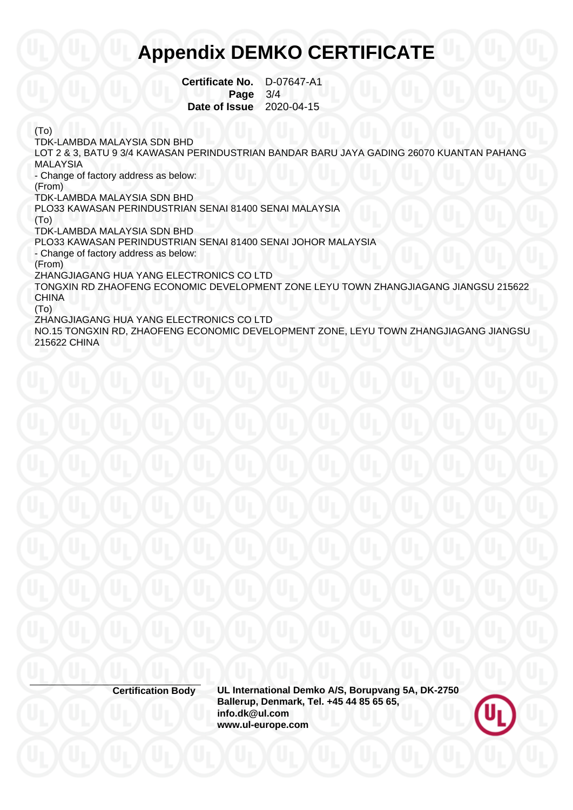### **Appendix DEMKO CERTIFICATE**

 **Certificate No.** D-07647-A1  **Page** 3/4  **Date of Issue** 2020-04-15

(To)

TDK-LAMBDA MALAYSIA SDN BHD LOT 2 & 3, BATU 9 3/4 KAWASAN PERINDUSTRIAN BANDAR BARU JAYA GADING 26070 KUANTAN PAHANG MALAYSIA - Change of factory address as below: (From) TDK-LAMBDA MALAYSIA SDN BHD PLO33 KAWASAN PERINDUSTRIAN SENAI 81400 SENAI MALAYSIA (To) TDK-LAMBDA MALAYSIA SDN BHD PLO33 KAWASAN PERINDUSTRIAN SENAI 81400 SENAI JOHOR MALAYSIA - Change of factory address as below: (From) ZHANGJIAGANG HUA YANG ELECTRONICS CO LTD TONGXIN RD ZHAOFENG ECONOMIC DEVELOPMENT ZONE LEYU TOWN ZHANGJIAGANG JIANGSU 215622 CHINA (To) ZHANGJIAGANG HUA YANG ELECTRONICS CO LTD NO.15 TONGXIN RD, ZHAOFENG ECONOMIC DEVELOPMENT ZONE, LEYU TOWN ZHANGJIAGANG JIANGSU 215622 CHINA